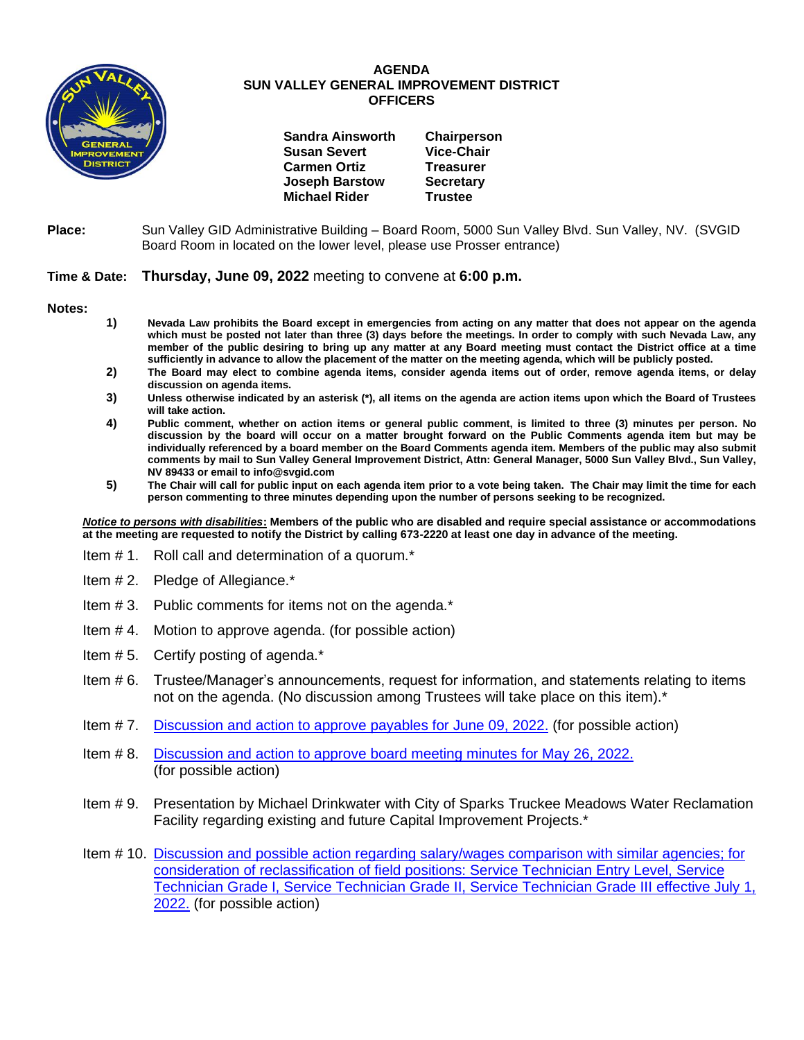

## **AGENDA SUN VALLEY GENERAL IMPROVEMENT DISTRICT OFFICERS**

| <b>Sandra Ainsworth</b> | Chairperson       |
|-------------------------|-------------------|
| <b>Susan Severt</b>     | <b>Vice-Chair</b> |
| <b>Carmen Ortiz</b>     | <b>Treasurer</b>  |
| <b>Joseph Barstow</b>   | <b>Secretary</b>  |
| <b>Michael Rider</b>    | <b>Trustee</b>    |
|                         |                   |

**Place:** Sun Valley GID Administrative Building – Board Room, 5000 Sun Valley Blvd. Sun Valley, NV. (SVGID Board Room in located on the lower level, please use Prosser entrance)

## **Time & Date: Thursday, June 09, 2022** meeting to convene at **6:00 p.m.**

**Notes:**

- **1) Nevada Law prohibits the Board except in emergencies from acting on any matter that does not appear on the agenda which must be posted not later than three (3) days before the meetings. In order to comply with such Nevada Law, any member of the public desiring to bring up any matter at any Board meeting must contact the District office at a time sufficiently in advance to allow the placement of the matter on the meeting agenda, which will be publicly posted.**
- **2) The Board may elect to combine agenda items, consider agenda items out of order, remove agenda items, or delay discussion on agenda items.**
- **3) Unless otherwise indicated by an asterisk (\*), all items on the agenda are action items upon which the Board of Trustees will take action.**
- **4) Public comment, whether on action items or general public comment, is limited to three (3) minutes per person. No discussion by the board will occur on a matter brought forward on the Public Comments agenda item but may be individually referenced by a board member on the Board Comments agenda item. Members of the public may also submit comments by mail to Sun Valley General Improvement District, Attn: General Manager, 5000 Sun Valley Blvd., Sun Valley, NV 89433 or email to info@svgid.com**
- **5) The Chair will call for public input on each agenda item prior to a vote being taken. The Chair may limit the time for each person commenting to three minutes depending upon the number of persons seeking to be recognized.**

*Notice to persons with disabilities***: Members of the public who are disabled and require special assistance or accommodations at the meeting are requested to notify the District by calling 673-2220 at least one day in advance of the meeting.**

- Item # 1. Roll call and determination of a quorum.\*
- Item # 2. Pledge of Allegiance.\*
- Item # 3. Public comments for items not on the agenda.\*
- Item # 4. Motion to approve agenda. (for possible action)
- Item # 5. Certify posting of agenda.\*
- Item # 6. Trustee/Manager's announcements, request for information, and statements relating to items not on the agenda. (No discussion among Trustees will take place on this item).\*
- Item # 7. [Discussion and action to approve payables](https://www.svgid.com/wp-content/uploads/060922_AgendaItem07.pdf) for June 09, 2022. (for possible action)
- Item # 8. [Discussion and action to approve board meeting minutes for](https://www.svgid.com/wp-content/uploads/060922_AgendaItem0.pdf) May 26, 2022. (for possible action)
- Item # 9. Presentation by Michael Drinkwater with City of Sparks Truckee Meadows Water Reclamation Facility regarding existing and future Capital Improvement Projects.\*
- Item # 10. [Discussion and possible action regarding salary/wages comparison with similar agencies; for](https://www.svgid.com/wp-content/uploads/060922_AgendaItem10.pdf)  consideration of reclassification of [field positions: Service Technician](https://www.svgid.com/wp-content/uploads/060922_AgendaItem10.pdf) Entry Level, Service [Technician Grade I, Service Technician Grade II, Service Technician Grade III](https://www.svgid.com/wp-content/uploads/060922_AgendaItem10.pdf) effective July 1, [2022.](https://www.svgid.com/wp-content/uploads/060922_AgendaItem10.pdf) (for possible action)